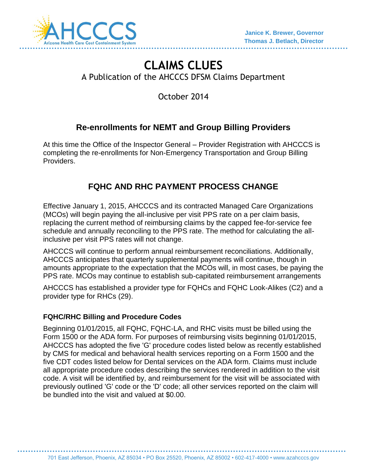

# **CLAIMS CLUES** A Publication of the AHCCCS DFSM Claims Department

October 2014

## **Re-enrollments for NEMT and Group Billing Providers**

At this time the Office of the Inspector General – Provider Registration with AHCCCS is completing the re-enrollments for Non-Emergency Transportation and Group Billing Providers.

## **FQHC AND RHC PAYMENT PROCESS CHANGE**

Effective January 1, 2015, AHCCCS and its contracted Managed Care Organizations (MCOs) will begin paying the all-inclusive per visit PPS rate on a per claim basis, replacing the current method of reimbursing claims by the capped fee-for-service fee schedule and annually reconciling to the PPS rate. The method for calculating the allinclusive per visit PPS rates will not change.

AHCCCS will continue to perform annual reimbursement reconciliations. Additionally, AHCCCS anticipates that quarterly supplemental payments will continue, though in amounts appropriate to the expectation that the MCOs will, in most cases, be paying the PPS rate. MCOs may continue to establish sub-capitated reimbursement arrangements

AHCCCS has established a provider type for FQHCs and FQHC Look-Alikes (C2) and a provider type for RHCs (29).

#### **FQHC/RHC Billing and Procedure Codes**

Beginning 01/01/2015, all FQHC, FQHC-LA, and RHC visits must be billed using the Form 1500 or the ADA form. For purposes of reimbursing visits beginning 01/01/2015, AHCCCS has adopted the five 'G' procedure codes listed below as recently established by CMS for medical and behavioral health services reporting on a Form 1500 and the five CDT codes listed below for Dental services on the ADA form. Claims must include all appropriate procedure codes describing the services rendered in addition to the visit code. A visit will be identified by, and reimbursement for the visit will be associated with previously outlined 'G' code or the 'D' code; all other services reported on the claim will be bundled into the visit and valued at \$0.00.